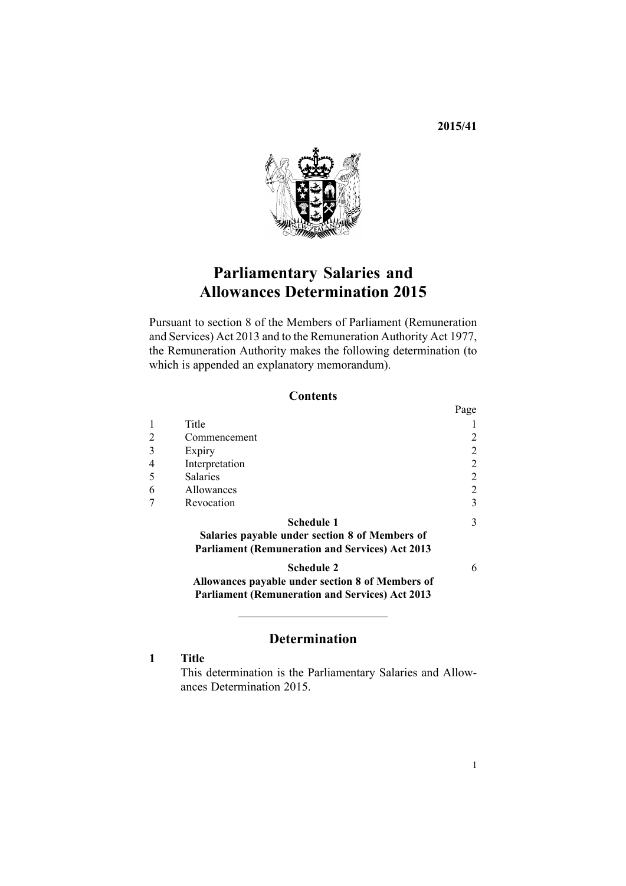**2015/41**



# **Parliamentary Salaries and Allowances Determination 2015**

Pursuant to [section](http://www.legislation.govt.nz/pdflink.aspx?id=DLM4034270) 8 of the Members of Parliament (Remuneration and Services) Act 2013 and to the [Remuneration](http://www.legislation.govt.nz/pdflink.aspx?id=DLM15636) Authority Act 1977, the Remuneration Authority makes the following determination (to which is appended an explanatory [memorandum](#page-5-0)).

### **Contents**

|   |                                                                                                            | Page           |
|---|------------------------------------------------------------------------------------------------------------|----------------|
|   | Title                                                                                                      |                |
|   | Commencement                                                                                               | 2              |
| 3 | Expiry                                                                                                     | 2              |
|   | Interpretation                                                                                             | $\overline{2}$ |
| 5 | <b>Salaries</b>                                                                                            | 2              |
| 6 | <b>Allowances</b>                                                                                          | 2              |
|   | Revocation                                                                                                 | 3              |
|   | <b>Schedule 1</b>                                                                                          | 3              |
|   | Salaries payable under section 8 of Members of<br><b>Parliament (Remuneration and Services) Act 2013</b>   |                |
|   | <b>Schedule 2</b>                                                                                          | 6              |
|   | Allowances payable under section 8 of Members of<br><b>Parliament (Remuneration and Services) Act 2013</b> |                |
|   |                                                                                                            |                |

## **Determination**

**1 Title**

This determination is the Parliamentary Salaries and Allowances Determination 2015.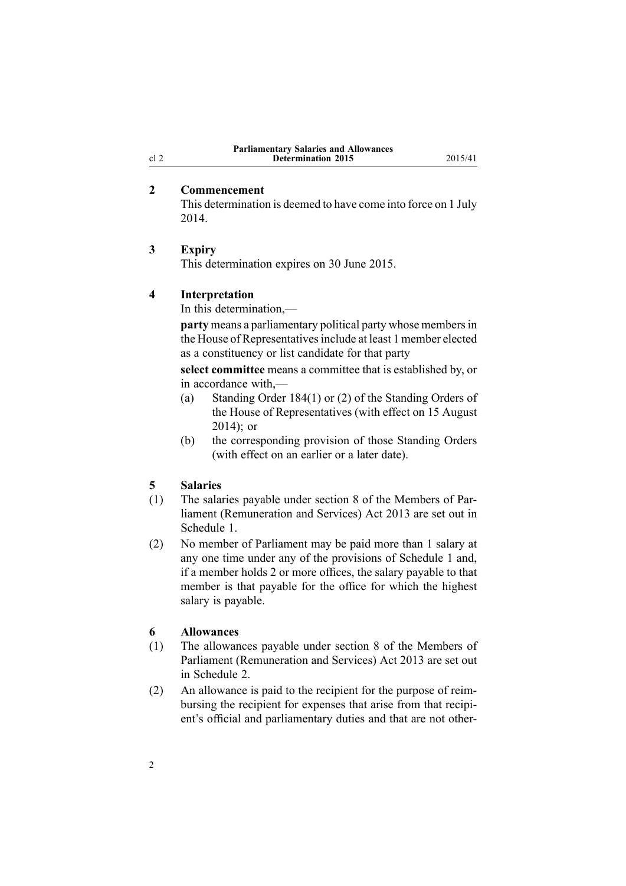| <b>Parliamentary Salaries and Allowances</b> |  |
|----------------------------------------------|--|
| <b>Determination 2015</b>                    |  |

### **2 Commencement**

This determination is deemed to have come into force on 1 July 2014.

### **3 Expiry**

This determination expires on 30 June 2015.

## **4 Interpretation**

In this determination,—

**party** means a parliamentary political party whose members in the House of Representatives include at least 1 member elected as <sup>a</sup> constituency or list candidate for that party

**select committee** means <sup>a</sup> committee that is established by, or in accordance with,—

- (a) Standing Order 184(1) or (2) of the Standing Orders of the House of Representatives (with effect on 15 August 2014); or
- (b) the corresponding provision of those Standing Orders (with effect on an earlier or <sup>a</sup> later date).

### **5 Salaries**

- (1) The salaries payable under [section](http://www.legislation.govt.nz/pdflink.aspx?id=DLM4034270) 8 of the Members of Parliament (Remuneration and Services) Act 2013 are set out in [Schedule](#page-2-0) 1.
- (2) No member of Parliament may be paid more than 1 salary at any one time under any of the provisions of [Schedule](#page-2-0) 1 and, if <sup>a</sup> member holds 2 or more offices, the salary payable to that member is that payable for the office for which the highest salary is payable.

### **6 Allowances**

- (1) The allowances payable under [section](http://www.legislation.govt.nz/pdflink.aspx?id=DLM4034270) 8 of the Members of Parliament (Remuneration and Services) Act 2013 are set out in [Schedule](#page-5-0) 2.
- (2) An allowance is paid to the recipient for the purpose of reimbursing the recipient for expenses that arise from that recipient's official and parliamentary duties and that are not other-

<span id="page-1-0"></span>cl 2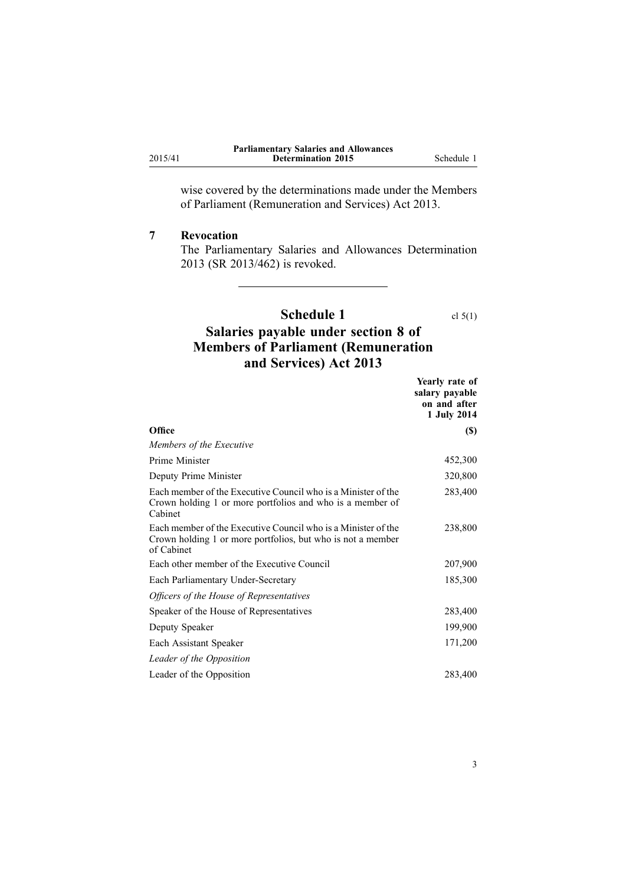<span id="page-2-0"></span>2015/41

wise covered by the determinations made under the [Members](http://www.legislation.govt.nz/pdflink.aspx?id=DLM4034212) of Parliament [\(Remuneration](http://www.legislation.govt.nz/pdflink.aspx?id=DLM4034212) and Services) Act 2013.

### **7 Revocation**

The [Parliamentary](http://www.legislation.govt.nz/pdflink.aspx?id=DLM5736818) Salaries and Allowances Determination [2013](http://www.legislation.govt.nz/pdflink.aspx?id=DLM5736818) (SR 2013/462) is revoked.

# **Schedule 1** cl [5\(1\)](#page-1-0) **Salaries payable under section 8 of Members of Parliament (Remuneration**

**and Services) Act 2013**

|                                                                                                                                            | Yearly rate of<br>salary payable<br>on and after<br>1 July 2014 |
|--------------------------------------------------------------------------------------------------------------------------------------------|-----------------------------------------------------------------|
| Office                                                                                                                                     | <b>(\$)</b>                                                     |
| Members of the Executive                                                                                                                   |                                                                 |
| Prime Minister                                                                                                                             | 452,300                                                         |
| Deputy Prime Minister                                                                                                                      | 320,800                                                         |
| Each member of the Executive Council who is a Minister of the<br>Crown holding 1 or more portfolios and who is a member of<br>Cabinet      | 283,400                                                         |
| Each member of the Executive Council who is a Minister of the<br>Crown holding 1 or more portfolios, but who is not a member<br>of Cabinet | 238,800                                                         |
| Each other member of the Executive Council                                                                                                 | 207,900                                                         |
| Each Parliamentary Under-Secretary                                                                                                         | 185,300                                                         |
| Officers of the House of Representatives                                                                                                   |                                                                 |
| Speaker of the House of Representatives                                                                                                    | 283,400                                                         |
| Deputy Speaker                                                                                                                             | 199,900                                                         |
| Each Assistant Speaker                                                                                                                     | 171,200                                                         |
| Leader of the Opposition                                                                                                                   |                                                                 |
| Leader of the Opposition                                                                                                                   | 283,400                                                         |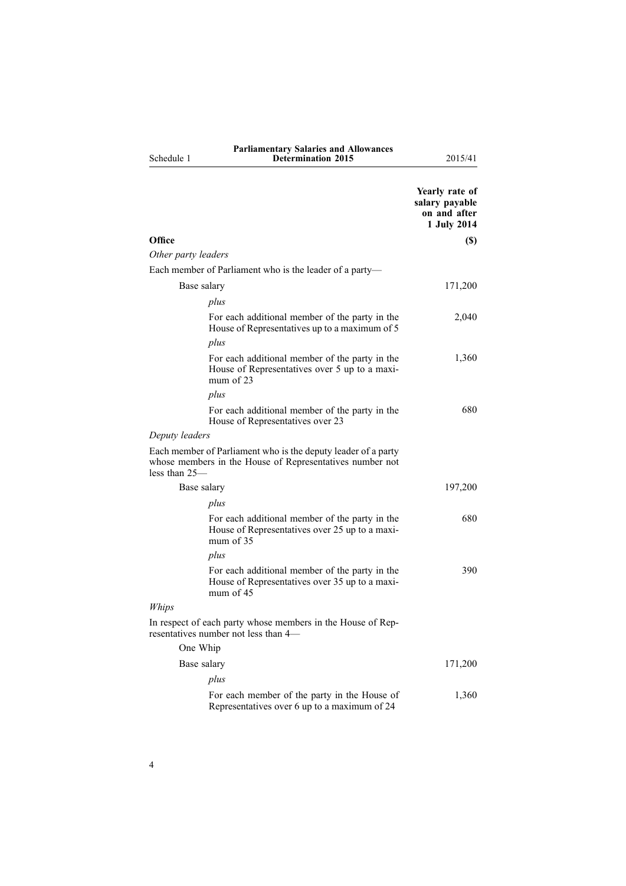|            | <b>Parliamentary Salaries and Allowances</b> |
|------------|----------------------------------------------|
| Schedule 1 | <b>Determination 2015</b>                    |

**Determination 2015** 2015/41

|                                                                                                                                              | Yearly rate of<br>salary payable<br>on and after<br>1 July 2014 |
|----------------------------------------------------------------------------------------------------------------------------------------------|-----------------------------------------------------------------|
| Office                                                                                                                                       | (S)                                                             |
| Other party leaders                                                                                                                          |                                                                 |
| Each member of Parliament who is the leader of a party-                                                                                      |                                                                 |
| Base salary                                                                                                                                  | 171,200                                                         |
| plus                                                                                                                                         |                                                                 |
| For each additional member of the party in the<br>House of Representatives up to a maximum of 5                                              | 2,040                                                           |
| plus                                                                                                                                         |                                                                 |
| For each additional member of the party in the<br>House of Representatives over 5 up to a maxi-<br>mum of $23$                               | 1,360                                                           |
| plus                                                                                                                                         |                                                                 |
| For each additional member of the party in the<br>House of Representatives over 23                                                           | 680                                                             |
| Deputy leaders                                                                                                                               |                                                                 |
| Each member of Parliament who is the deputy leader of a party<br>whose members in the House of Representatives number not<br>less than $25-$ |                                                                 |
| Base salary                                                                                                                                  | 197,200                                                         |
| plus                                                                                                                                         |                                                                 |
| For each additional member of the party in the<br>House of Representatives over 25 up to a maxi-<br>mum of $35$                              | 680                                                             |
| plus                                                                                                                                         |                                                                 |
| For each additional member of the party in the<br>House of Representatives over 35 up to a maxi-<br>mum of $45$                              | 390                                                             |
| Whips                                                                                                                                        |                                                                 |
| In respect of each party whose members in the House of Rep-<br>resentatives number not less than 4—                                          |                                                                 |
| One Whip                                                                                                                                     |                                                                 |
| Base salary                                                                                                                                  | 171,200                                                         |
| plus                                                                                                                                         |                                                                 |
| For each member of the party in the House of<br>Representatives over 6 up to a maximum of 24                                                 | 1,360                                                           |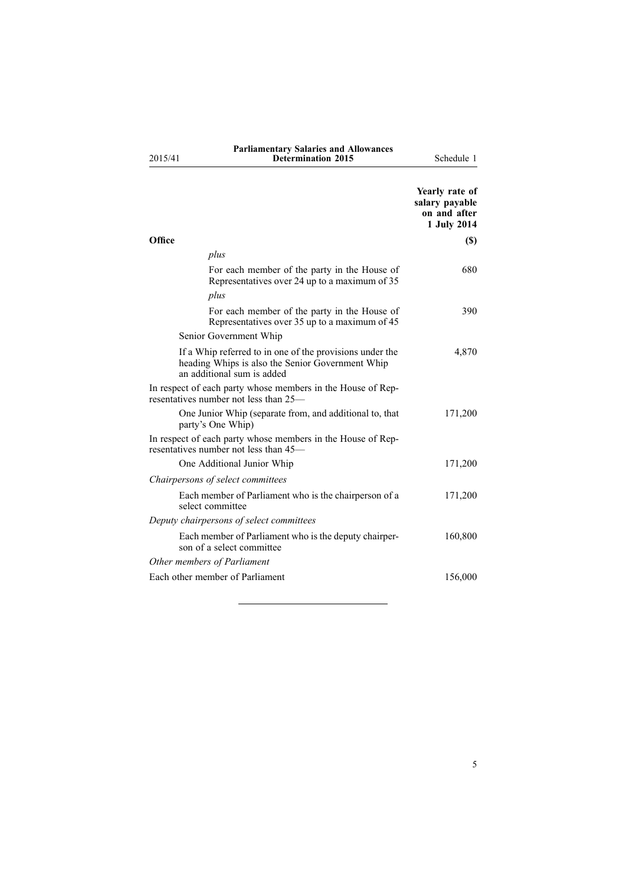2015/41

# **Parliamentary Salaries and Allowances Determination 2015** Schedule 1

|                                                                                                                                            | Yearly rate of<br>salary payable<br>on and after<br>1 July 2014 |  |
|--------------------------------------------------------------------------------------------------------------------------------------------|-----------------------------------------------------------------|--|
| Office                                                                                                                                     | <b>(\$)</b>                                                     |  |
| plus                                                                                                                                       |                                                                 |  |
| For each member of the party in the House of<br>Representatives over 24 up to a maximum of 35                                              | 680                                                             |  |
| plus                                                                                                                                       |                                                                 |  |
| For each member of the party in the House of<br>Representatives over 35 up to a maximum of 45                                              | 390                                                             |  |
| Senior Government Whip                                                                                                                     |                                                                 |  |
| If a Whip referred to in one of the provisions under the<br>heading Whips is also the Senior Government Whip<br>an additional sum is added | 4,870                                                           |  |
| In respect of each party whose members in the House of Rep-<br>resentatives number not less than 25—                                       |                                                                 |  |
| One Junior Whip (separate from, and additional to, that<br>party's One Whip)                                                               | 171,200                                                         |  |
| In respect of each party whose members in the House of Rep-<br>resentatives number not less than 45—                                       |                                                                 |  |
| One Additional Junior Whip                                                                                                                 | 171,200                                                         |  |
| Chairpersons of select committees                                                                                                          |                                                                 |  |
| Each member of Parliament who is the chairperson of a<br>select committee                                                                  | 171,200                                                         |  |
| Deputy chairpersons of select committees                                                                                                   |                                                                 |  |
| Each member of Parliament who is the deputy chairper-<br>son of a select committee                                                         | 160,800                                                         |  |
| Other members of Parliament                                                                                                                |                                                                 |  |
| Each other member of Parliament                                                                                                            | 156,000                                                         |  |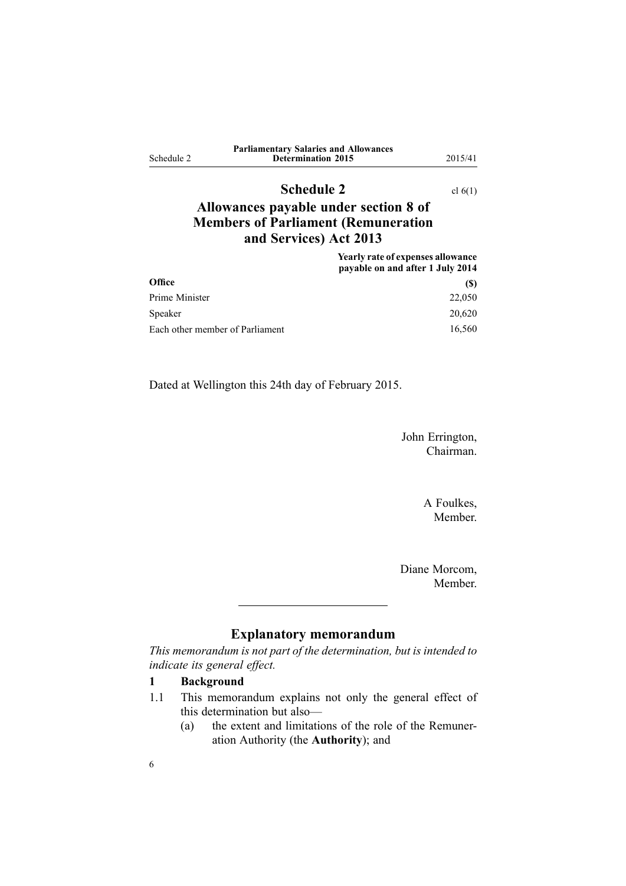<span id="page-5-0"></span>

| Schedule 2 | <b>Parliamentary Salaries and Allowances</b><br><b>Determination 2015</b> | 2015/41 |
|------------|---------------------------------------------------------------------------|---------|
|            |                                                                           |         |

# **Schedule 2** cl [6\(1\)](#page-1-0)

# **Allowances payable under section 8 of Members of Parliament (Remuneration and Services) Act 2013**

|                                 | Yearly rate of expenses allowance<br>payable on and after 1 July 2014 |
|---------------------------------|-----------------------------------------------------------------------|
| <b>Office</b>                   | (S)                                                                   |
| Prime Minister                  | 22,050                                                                |
| Speaker                         | 20,620                                                                |
| Each other member of Parliament | 16,560                                                                |

Dated at Wellington this 24th day of February 2015.

John Errington, Chairman.

> A Foulkes, Member.

Diane Morcom, Member.

# **Explanatory memorandum**

*This memorandum is not par<sup>t</sup> of the determination, but is intended to indicate its general effect.*

# **1 Background**

- 1.1 This memorandum explains not only the general effect of this determination but also—
	- (a) the extent and limitations of the role of the Remuneration Authority (the **Authority**); and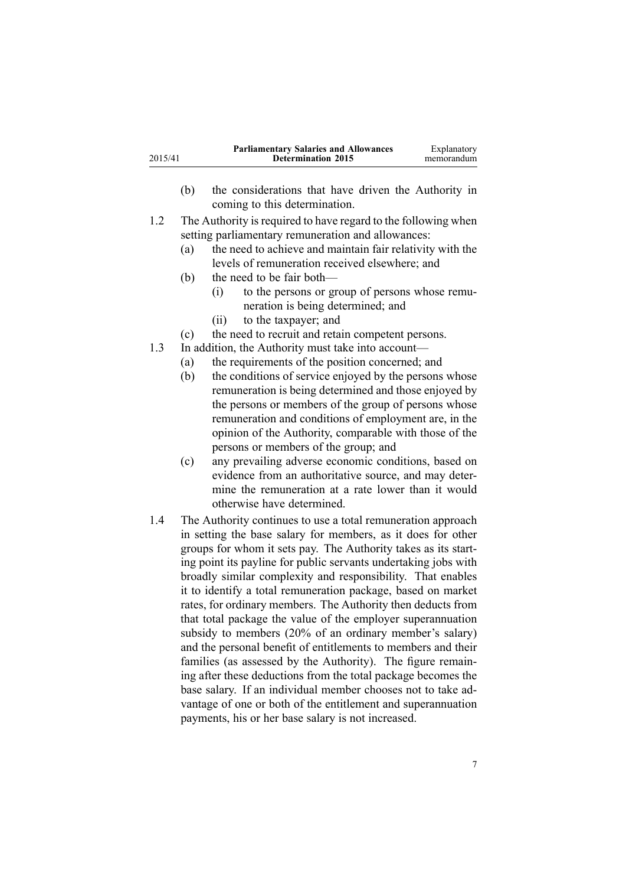| <b>Parliamentary Salaries and Allowances</b><br>Explanatory<br>2015/41<br><b>Determination 2015</b><br>memorandum |
|-------------------------------------------------------------------------------------------------------------------|
|-------------------------------------------------------------------------------------------------------------------|

- (b) the considerations that have driven the Authority in coming to this determination.
- 1.2 The Authority is required to have regard to the following when setting parliamentary remuneration and allowances:
	- (a) the need to achieve and maintain fair relativity with the levels of remuneration received elsewhere; and
	- (b) the need to be fair both—
		- (i) to the persons or group of persons whose remuneration is being determined; and
		- (ii) to the taxpayer; and
	- (c) the need to recruit and retain competent persons.
- 1.3 In addition, the Authority must take into account—
	- (a) the requirements of the position concerned; and
	- (b) the conditions of service enjoyed by the persons whose remuneration is being determined and those enjoyed by the persons or members of the group of persons whose remuneration and conditions of employment are, in the opinion of the Authority, comparable with those of the persons or members of the group; and
	- (c) any prevailing adverse economic conditions, based on evidence from an authoritative source, and may determine the remuneration at <sup>a</sup> rate lower than it would otherwise have determined.
- 1.4 The Authority continues to use <sup>a</sup> total remuneration approach in setting the base salary for members, as it does for other groups for whom it sets pay. The Authority takes as its starting point its payline for public servants undertaking jobs with broadly similar complexity and responsibility. That enables it to identify <sup>a</sup> total remuneration package, based on market rates, for ordinary members. The Authority then deducts from that total package the value of the employer superannuation subsidy to members (20% of an ordinary member's salary) and the personal benefit of entitlements to members and their families (as assessed by the Authority). The figure remaining after these deductions from the total package becomes the base salary. If an individual member chooses not to take advantage of one or both of the entitlement and superannuation payments, his or her base salary is not increased.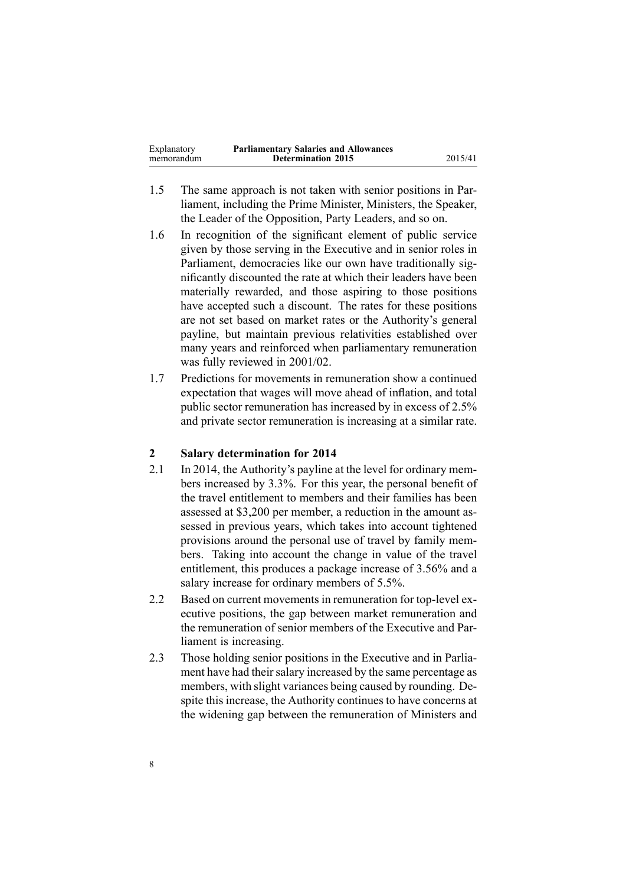| Explanatory | <b>Parliamentary Salaries and Allowances</b> |         |
|-------------|----------------------------------------------|---------|
| memorandum  | <b>Determination 2015</b>                    | 2015/41 |

- 1.5 The same approach is not taken with senior positions in Parliament, including the Prime Minister, Ministers, the Speaker, the Leader of the Opposition, Party Leaders, and so on.
- 1.6 In recognition of the significant element of public service given by those serving in the Executive and in senior roles in Parliament, democracies like our own have traditionally significantly discounted the rate at which their leaders have been materially rewarded, and those aspiring to those positions have accepted such <sup>a</sup> discount. The rates for these positions are not set based on market rates or the Authority's general payline, but maintain previous relativities established over many years and reinforced when parliamentary remuneration was fully reviewed in 2001/02.
- 1.7 Predictions for movements in remuneration show <sup>a</sup> continued expectation that wages will move ahead of inflation, and total public sector remuneration has increased by in excess of 2.5% and private sector remuneration is increasing at <sup>a</sup> similar rate.

### **2 Salary determination for 2014**

- 2.1 In 2014, the Authority's payline at the level for ordinary members increased by 3.3%. For this year, the personal benefit of the travel entitlement to members and their families has been assessed at \$3,200 per member, <sup>a</sup> reduction in the amount assessed in previous years, which takes into account tightened provisions around the personal use of travel by family members. Taking into account the change in value of the travel entitlement, this produces <sup>a</sup> package increase of 3.56% and <sup>a</sup> salary increase for ordinary members of 5.5%.
- 2.2 Based on current movements in remuneration for top-level executive positions, the gap between market remuneration and the remuneration of senior members of the Executive and Parliament is increasing.
- 2.3 Those holding senior positions in the Executive and in Parliament have had their salary increased by the same percentage as members, with slight variances being caused by rounding. Despite this increase, the Authority continues to have concerns at the widening gap between the remuneration of Ministers and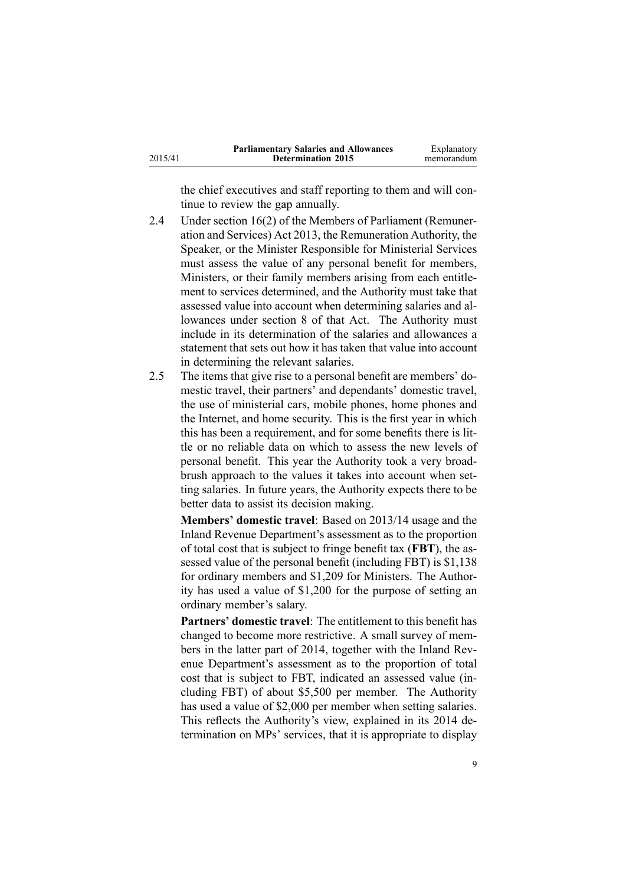|         | <b>Parliamentary Salaries and Allowances</b> | Explanatory |
|---------|----------------------------------------------|-------------|
| 2015/41 | <b>Determination 2015</b>                    | memorandum  |

the chief executives and staff reporting to them and will continue to review the gap annually.

- 2.4 Under [section](http://www.legislation.govt.nz/pdflink.aspx?id=DLM4034280) 16(2) of the Members of Parliament (Remuneration and Services) Act 2013, the Remuneration Authority, the Speaker, or the Minister Responsible for Ministerial Services must assess the value of any personal benefit for members, Ministers, or their family members arising from each entitlement to services determined, and the Authority must take that assessed value into account when determining salaries and allowances under [section](http://www.legislation.govt.nz/pdflink.aspx?id=DLM4034270) 8 of that Act. The Authority must include in its determination of the salaries and allowances <sup>a</sup> statement that sets out how it has taken that value into account in determining the relevant salaries.
- 2.5 The items that give rise to <sup>a</sup> personal benefit are members' domestic travel, their partners' and dependants' domestic travel, the use of ministerial cars, mobile phones, home phones and the Internet, and home security. This is the first year in which this has been <sup>a</sup> requirement, and for some benefits there is little or no reliable data on which to assess the new levels of personal benefit. This year the Authority took <sup>a</sup> very broadbrush approach to the values it takes into account when setting salaries. In future years, the Authority expects there to be better data to assist its decision making.

**Members' domestic travel**: Based on 2013/14 usage and the Inland Revenue Department's assessment as to the proportion of total cost that is subject to fringe benefit tax (**FBT**), the assessed value of the personal benefit (including FBT) is \$1,138 for ordinary members and \$1,209 for Ministers. The Authority has used <sup>a</sup> value of \$1,200 for the purpose of setting an ordinary member's salary.

**Partners' domestic travel**: The entitlement to this benefit has changed to become more restrictive. A small survey of members in the latter par<sup>t</sup> of 2014, together with the Inland Revenue Department's assessment as to the proportion of total cost that is subject to FBT, indicated an assessed value (including FBT) of about \$5,500 per member. The Authority has used <sup>a</sup> value of \$2,000 per member when setting salaries. This reflects the Authority's view, explained in its 2014 determination on MPs' services, that it is appropriate to display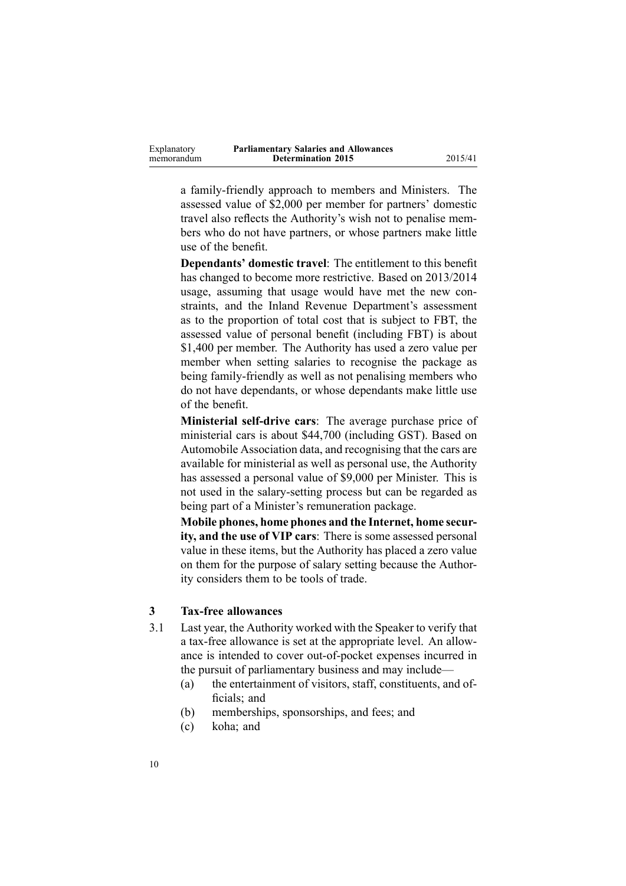| Explanatory | <b>Parliamentary Salaries and Allowances</b> |
|-------------|----------------------------------------------|
| memorandum  | <b>Determination 2015</b>                    |

<sup>a</sup> family-friendly approach to members and Ministers. The assessed value of \$2,000 per member for partners' domestic travel also reflects the Authority's wish not to penalise members who do not have partners, or whose partners make little use of the benefit.

**Determination 2015** 2015/41

**Dependants' domestic travel**: The entitlement to this benefit has changed to become more restrictive. Based on 2013/2014 usage, assuming that usage would have met the new constraints, and the Inland Revenue Department's assessment as to the proportion of total cost that is subject to FBT, the assessed value of personal benefit (including FBT) is about \$1,400 per member. The Authority has used <sup>a</sup> zero value per member when setting salaries to recognise the package as being family-friendly as well as not penalising members who do not have dependants, or whose dependants make little use of the benefit.

**Ministerial self-drive cars**: The average purchase price of ministerial cars is about \$44,700 (including GST). Based on Automobile Association data, and recognising that the cars are available for ministerial as well as personal use, the Authority has assessed <sup>a</sup> personal value of \$9,000 per Minister. This is not used in the salary-setting process but can be regarded as being par<sup>t</sup> of <sup>a</sup> Minister's remuneration package.

**Mobile phones, home phones and the Internet, home security, and the use of VIP cars**: There is some assessed personal value in these items, but the Authority has placed <sup>a</sup> zero value on them for the purpose of salary setting because the Authority considers them to be tools of trade.

#### **3 Tax-free allowances**

- 3.1 Last year, the Authority worked with the Speaker to verify that <sup>a</sup> tax-free allowance is set at the appropriate level. An allowance is intended to cover out-of-pocket expenses incurred in the pursuit of parliamentary business and may include—
	- (a) the entertainment of visitors, staff, constituents, and officials; and
	- (b) memberships, sponsorships, and fees; and
	- (c) koha; and